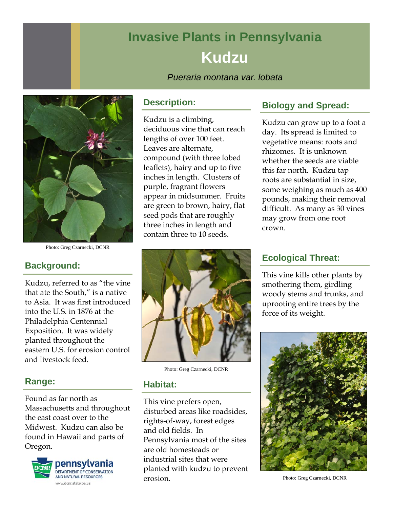# **Invasive Plants in Pennsylvania Kudzu**

*Pueraria montana var. lobata* 



Photo: Greg Czarnecki, DCNR

# **Background:**

Kudzu, referred to as "the vine that ate the South," is a native to Asia. It was first introduced into the U.S. in 1876 at the Philadelphia Centennial Exposition. It was widely planted throughout the eastern U.S. for erosion control and livestock feed.

# **Range:**

Found as far north as Massachusetts and throughout the east coast over to the Midwest. Kudzu can also be found in Hawaii and parts of Oregon.



#### **Description:**

Kudzu is a climbing, deciduous vine that can reach lengths of over 100 feet. Leaves are alternate, compound (with three lobed leaflets), hairy and up to five inches in length. Clusters of purple, fragrant flowers appear in midsummer. Fruits are green to brown, hairy, flat seed pods that are roughly three inches in length and contain three to 10 seeds.



Photo: Greg Czarnecki, DCNR

#### **Habitat:**

This vine prefers open, disturbed areas like roadsides, rights-of-way, forest edges and old fields. In Pennsylvania most of the sites are old homesteads or industrial sites that were planted with kudzu to prevent erosion.

# **Biology and Spread:**

Kudzu can grow up to a foot a day. Its spread is limited to vegetative means: roots and rhizomes. It is unknown whether the seeds are viable this far north. Kudzu tap roots are substantial in size, some weighing as much as 400 pounds, making their removal difficult. As many as 30 vines may grow from one root crown.

# **Ecological Threat:**

This vine kills other plants by smothering them, girdling woody stems and trunks, and uprooting entire trees by the force of its weight.



Photo: Greg Czarnecki, DCNR